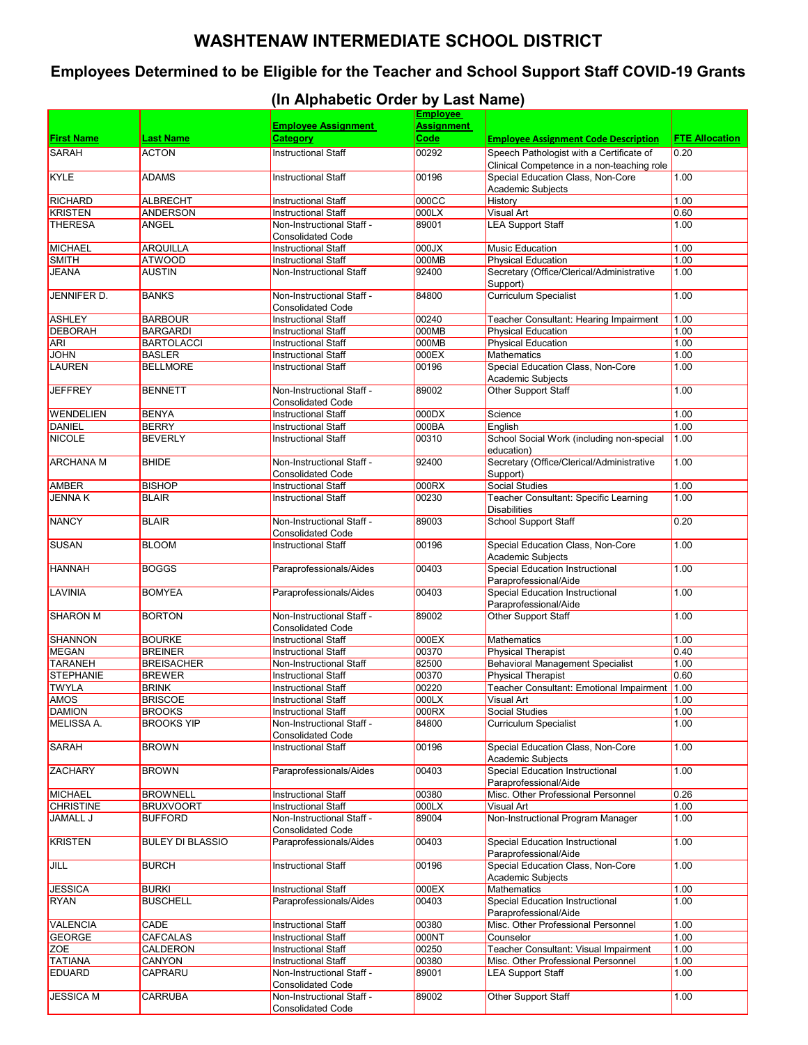## **WASHTENAW INTERMEDIATE SCHOOL DISTRICT**

## **Employees Determined to be Eligible for the Teacher and School Support Staff COVID-19 Grants**

## **(In Alphabetic Order by Last Name)**

|                   |                         |                                                        | <b>Employee</b>           |                                                                                        |                       |
|-------------------|-------------------------|--------------------------------------------------------|---------------------------|----------------------------------------------------------------------------------------|-----------------------|
| <b>First Name</b> | <b>Last Name</b>        | <b>Employee Assignment</b><br><b>Category</b>          | <b>Assignment</b><br>Code |                                                                                        | <b>FTE Allocation</b> |
| <b>SARAH</b>      | <b>ACTON</b>            |                                                        |                           | <b>Employee Assignment Code Description</b>                                            | 0.20                  |
|                   |                         | <b>Instructional Staff</b>                             | 00292                     | Speech Pathologist with a Certificate of<br>Clinical Competence in a non-teaching role |                       |
| KYLE              | <b>ADAMS</b>            | <b>Instructional Staff</b>                             | 00196                     | Special Education Class, Non-Core                                                      | 1.00                  |
|                   |                         |                                                        |                           | Academic Subjects                                                                      |                       |
| <b>RICHARD</b>    | <b>ALBRECHT</b>         | <b>Instructional Staff</b>                             | 000CC                     | History                                                                                | 1.00                  |
| <b>KRISTEN</b>    | <b>ANDERSON</b>         | <b>Instructional Staff</b>                             | 000LX                     | Visual Art                                                                             | 0.60                  |
| <b>THERESA</b>    | ANGEL                   | Non-Instructional Staff -<br><b>Consolidated Code</b>  | 89001                     | <b>LEA Support Staff</b>                                                               | 1.00                  |
| <b>MICHAEL</b>    | <b>ARQUILLA</b>         | <b>Instructional Staff</b>                             | $000$ J $X$               | <b>Music Education</b>                                                                 | 1.00                  |
| <b>SMITH</b>      | <b>ATWOOD</b>           | <b>Instructional Staff</b>                             | 000MB                     | <b>Physical Education</b>                                                              | 1.00                  |
| <b>JEANA</b>      | <b>AUSTIN</b>           | Non-Instructional Staff                                | 92400                     | Secretary (Office/Clerical/Administrative                                              | 1.00                  |
|                   |                         |                                                        |                           | Support)                                                                               |                       |
| JENNIFER D.       | <b>BANKS</b>            | Non-Instructional Staff -<br><b>Consolidated Code</b>  | 84800                     | <b>Curriculum Specialist</b>                                                           | 1.00                  |
| <b>ASHLEY</b>     | <b>BARBOUR</b>          | <b>Instructional Staff</b>                             | 00240                     | Teacher Consultant: Hearing Impairment                                                 | 1.00                  |
| <b>DEBORAH</b>    | <b>BARGARDI</b>         | <b>Instructional Staff</b>                             | 000MB                     | <b>Physical Education</b>                                                              | 1.00                  |
| <b>ARI</b>        | <b>BARTOLACCI</b>       | <b>Instructional Staff</b>                             | 000MB                     | <b>Physical Education</b>                                                              | 1.00                  |
| <b>JOHN</b>       | <b>BASLER</b>           | <b>Instructional Staff</b>                             | 000EX                     | Mathematics                                                                            | 1.00                  |
| <b>LAUREN</b>     | <b>BELLMORE</b>         | <b>Instructional Staff</b>                             | 00196                     | Special Education Class, Non-Core                                                      | 1.00                  |
|                   |                         |                                                        |                           | <b>Academic Subjects</b>                                                               |                       |
| <b>JEFFREY</b>    | <b>BENNETT</b>          | Non-Instructional Staff -<br><b>Consolidated Code</b>  | 89002                     | Other Support Staff                                                                    | 1.00                  |
| <b>WENDELIEN</b>  | <b>BENYA</b>            | <b>Instructional Staff</b>                             | 000DX                     | Science                                                                                | 1.00                  |
| <b>DANIEL</b>     | <b>BERRY</b>            | <b>Instructional Staff</b>                             | 000BA                     | English                                                                                | 1.00                  |
| <b>NICOLE</b>     | <b>BEVERLY</b>          | <b>Instructional Staff</b>                             | 00310                     | School Social Work (including non-special                                              | 1.00                  |
|                   |                         |                                                        |                           | education)                                                                             |                       |
| <b>ARCHANA M</b>  | <b>BHIDE</b>            | Non-Instructional Staff -                              | 92400                     | Secretary (Office/Clerical/Administrative                                              | 1.00                  |
|                   |                         | <b>Consolidated Code</b>                               |                           | Support)                                                                               |                       |
| <b>AMBER</b>      | <b>BISHOP</b>           | <b>Instructional Staff</b>                             | 000RX                     | <b>Social Studies</b>                                                                  | 1.00                  |
| <b>JENNA K</b>    | <b>BLAIR</b>            | <b>Instructional Staff</b>                             | 00230                     | Teacher Consultant: Specific Learning<br><b>Disabilities</b>                           | 1.00                  |
| <b>NANCY</b>      | <b>BLAIR</b>            | Non-Instructional Staff -                              | 89003                     | School Support Staff                                                                   | 0.20                  |
| <b>SUSAN</b>      | <b>BLOOM</b>            | <b>Consolidated Code</b><br><b>Instructional Staff</b> | 00196                     | Special Education Class, Non-Core                                                      | 1.00                  |
|                   |                         |                                                        |                           | <b>Academic Subjects</b>                                                               |                       |
| <b>HANNAH</b>     | <b>BOGGS</b>            | Paraprofessionals/Aides                                | 00403                     | <b>Special Education Instructional</b>                                                 | 1.00                  |
|                   |                         |                                                        |                           | Paraprofessional/Aide                                                                  |                       |
| LAVINIA           | <b>BOMYEA</b>           | Paraprofessionals/Aides                                | 00403                     | <b>Special Education Instructional</b><br>Paraprofessional/Aide                        | 1.00                  |
| <b>SHARON M</b>   | <b>BORTON</b>           | Non-Instructional Staff -                              | 89002                     | <b>Other Support Staff</b>                                                             | 1.00                  |
|                   |                         | <b>Consolidated Code</b>                               |                           |                                                                                        |                       |
| <b>SHANNON</b>    | <b>BOURKE</b>           | <b>Instructional Staff</b>                             | 000EX                     | <b>Mathematics</b>                                                                     | 1.00                  |
| <b>MEGAN</b>      | <b>BREINER</b>          | <b>Instructional Staff</b>                             | 00370                     | <b>Physical Therapist</b>                                                              | 0.40                  |
| <b>TARANEH</b>    | <b>BREISACHER</b>       | Non-Instructional Staff                                | 82500                     | <b>Behavioral Management Specialist</b>                                                | 1.00                  |
| <b>STEPHANIE</b>  | <b>BREWER</b>           | <b>Instructional Staff</b>                             | 00370                     | <b>Physical Therapist</b>                                                              | 0.60                  |
| <b>TWYLA</b>      | <b>BRINK</b>            | <b>Instructional Staff</b>                             | 00220                     | Teacher Consultant: Emotional Impairment 1.00                                          |                       |
| AMOS              | <b>BRISCOE</b>          | <b>Instructional Staff</b>                             | 000LX                     | Visual Art                                                                             | 1.00                  |
| <b>DAMION</b>     | <b>BROOKS</b>           | <b>Instructional Staff</b>                             | 000RX                     | Social Studies                                                                         | 1.00                  |
| <b>MELISSA A.</b> | <b>BROOKS YIP</b>       | Non-Instructional Staff -<br><b>Consolidated Code</b>  | 84800                     | <b>Curriculum Specialist</b>                                                           | 1.00                  |
| <b>SARAH</b>      | <b>BROWN</b>            | <b>Instructional Staff</b>                             | 00196                     | Special Education Class, Non-Core<br>Academic Subjects                                 | 1.00                  |
| <b>ZACHARY</b>    | <b>BROWN</b>            | Paraprofessionals/Aides                                | 00403                     | <b>Special Education Instructional</b>                                                 | 1.00                  |
| <b>MICHAEL</b>    | <b>BROWNELL</b>         | <b>Instructional Staff</b>                             | 00380                     | Paraprofessional/Aide<br>Misc. Other Professional Personnel                            | 0.26                  |
| <b>CHRISTINE</b>  | <b>BRUXVOORT</b>        | <b>Instructional Staff</b>                             | 000LX                     | <b>Visual Art</b>                                                                      | 1.00                  |
| <b>JAMALL J</b>   | <b>BUFFORD</b>          | Non-Instructional Staff -                              | 89004                     | Non-Instructional Program Manager                                                      | 1.00                  |
|                   |                         | <b>Consolidated Code</b>                               |                           |                                                                                        |                       |
| <b>KRISTEN</b>    | <b>BULEY DI BLASSIO</b> | Paraprofessionals/Aides                                | 00403                     | Special Education Instructional<br>Paraprofessional/Aide                               | 1.00                  |
| JILL              | <b>BURCH</b>            | <b>Instructional Staff</b>                             | 00196                     | Special Education Class, Non-Core                                                      | 1.00                  |
|                   |                         |                                                        |                           | Academic Subjects                                                                      |                       |
| <b>JESSICA</b>    | <b>BURKI</b>            | <b>Instructional Staff</b>                             | 000EX                     | Mathematics                                                                            | 1.00                  |
| <b>RYAN</b>       | <b>BUSCHELL</b>         | Paraprofessionals/Aides                                | 00403                     | Special Education Instructional<br>Paraprofessional/Aide                               | 1.00                  |
| <b>VALENCIA</b>   | CADE                    | <b>Instructional Staff</b>                             | 00380                     | Misc. Other Professional Personnel                                                     | 1.00                  |
| <b>GEORGE</b>     | CAFCALAS                | <b>Instructional Staff</b>                             | 000NT                     | Counselor                                                                              | 1.00                  |
| ZOE               | CALDERON                | <b>Instructional Staff</b>                             | 00250                     | Teacher Consultant: Visual Impairment                                                  | 1.00                  |
| <b>TATIANA</b>    | CANYON                  | <b>Instructional Staff</b>                             | 00380                     | Misc. Other Professional Personnel                                                     | 1.00                  |
| <b>EDUARD</b>     | CAPRARU                 | Non-Instructional Staff -                              | 89001                     | <b>LEA Support Staff</b>                                                               | 1.00                  |
|                   |                         | <b>Consolidated Code</b>                               |                           |                                                                                        |                       |
| <b>JESSICA M</b>  | CARRUBA                 | Non-Instructional Staff -<br><b>Consolidated Code</b>  | 89002                     | Other Support Staff                                                                    | 1.00                  |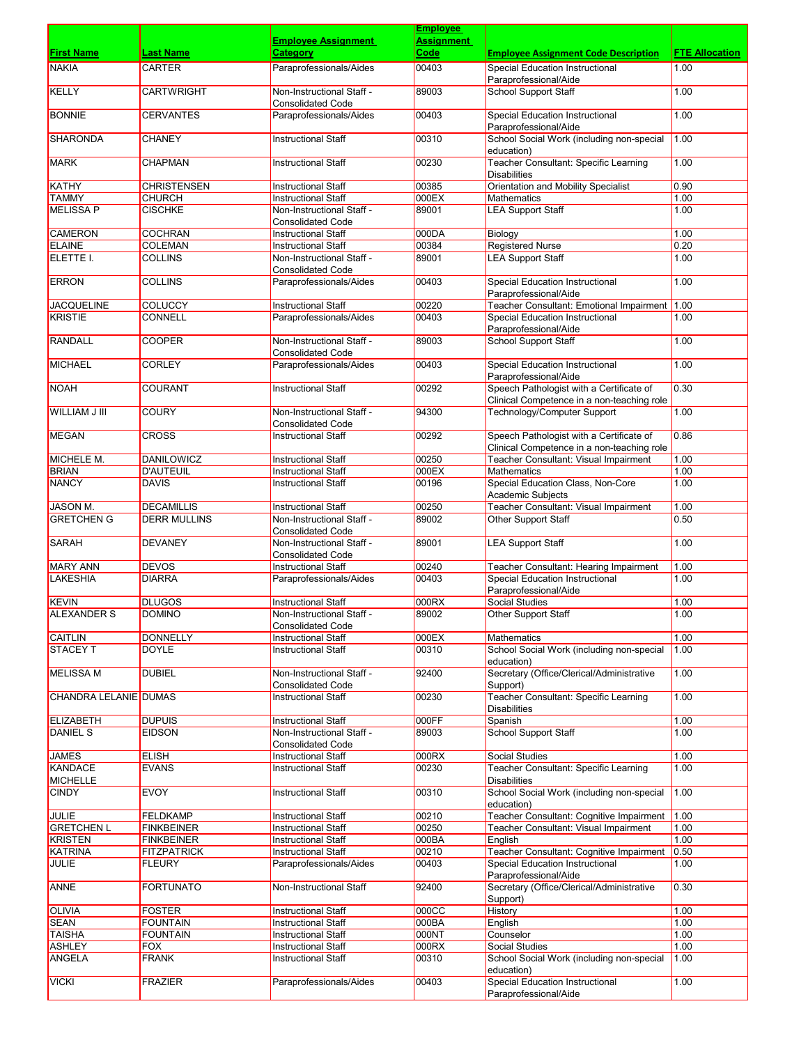|                                   |                               |                                                          | <b>Employee</b> |                                                                                        |                       |
|-----------------------------------|-------------------------------|----------------------------------------------------------|-----------------|----------------------------------------------------------------------------------------|-----------------------|
|                                   |                               | <b>Employee Assignment</b>                               | Assignment      |                                                                                        |                       |
| <b>First Name</b>                 | Last Name                     | Category                                                 | Code            | <b>Employee Assignment Code Description</b>                                            | <b>FTE Allocation</b> |
| <b>NAKIA</b>                      | <b>CARTER</b>                 | Paraprofessionals/Aides                                  | 00403           | Special Education Instructional<br>Paraprofessional/Aide                               | 1.00                  |
| <b>KELLY</b>                      | <b>CARTWRIGHT</b>             | Non-Instructional Staff -<br><b>Consolidated Code</b>    | 89003           | <b>School Support Staff</b>                                                            | 1.00                  |
| <b>BONNIE</b>                     | <b>CERVANTES</b>              | Paraprofessionals/Aides                                  | 00403           | Special Education Instructional<br>Paraprofessional/Aide                               | 1.00                  |
| <b>SHARONDA</b>                   | <b>CHANEY</b>                 | <b>Instructional Staff</b>                               | 00310           | School Social Work (including non-special                                              | 1.00                  |
| <b>MARK</b>                       | <b>CHAPMAN</b>                | <b>Instructional Staff</b>                               | 00230           | education)<br>Teacher Consultant: Specific Learning                                    | 1.00                  |
| KATHY                             | <b>CHRISTENSEN</b>            | <b>Instructional Staff</b>                               | 00385           | <b>Disabilities</b><br><b>Orientation and Mobility Specialist</b>                      | 0.90                  |
| <b>TAMMY</b>                      | <b>CHURCH</b>                 | <b>Instructional Staff</b>                               | 000EX           | <b>Mathematics</b>                                                                     | 1.00                  |
| <b>MELISSA P</b>                  | <b>CISCHKE</b>                | Non-Instructional Staff -<br><b>Consolidated Code</b>    | 89001           | <b>LEA Support Staff</b>                                                               | 1.00                  |
| <b>CAMERON</b>                    | <b>COCHRAN</b>                | <b>Instructional Staff</b>                               | 000DA           | Biology                                                                                | 1.00                  |
| <b>ELAINE</b>                     | <b>COLEMAN</b>                | <b>Instructional Staff</b>                               | 00384           | <b>Registered Nurse</b>                                                                | 0.20                  |
| ELETTE I.                         | <b>COLLINS</b>                | Non-Instructional Staff -<br><b>Consolidated Code</b>    | 89001           | <b>LEA Support Staff</b>                                                               | 1.00                  |
| <b>ERRON</b>                      | <b>COLLINS</b>                | Paraprofessionals/Aides                                  | 00403           | <b>Special Education Instructional</b><br>Paraprofessional/Aide                        | 1.00                  |
| <b>JACQUELINE</b>                 | <b>COLUCCY</b>                | <b>Instructional Staff</b>                               | 00220           | Teacher Consultant: Emotional Impairment 1.00                                          |                       |
| <b>KRISTIE</b>                    | <b>CONNELL</b>                | Paraprofessionals/Aides                                  | 00403           | <b>Special Education Instructional</b>                                                 | 1.00                  |
|                                   |                               |                                                          |                 | Paraprofessional/Aide                                                                  |                       |
| <b>RANDALL</b>                    | <b>COOPER</b>                 | Non-Instructional Staff -<br><b>Consolidated Code</b>    | 89003           | <b>School Support Staff</b>                                                            | 1.00                  |
| <b>MICHAEL</b>                    | <b>CORLEY</b>                 | Paraprofessionals/Aides                                  | 00403           | <b>Special Education Instructional</b><br>Paraprofessional/Aide                        | 1.00                  |
| <b>NOAH</b>                       | <b>COURANT</b>                | <b>Instructional Staff</b>                               | 00292           | Speech Pathologist with a Certificate of<br>Clinical Competence in a non-teaching role | 0.30                  |
| WILLIAM J III                     | <b>COURY</b>                  | Non-Instructional Staff -<br><b>Consolidated Code</b>    | 94300           | Technology/Computer Support                                                            | 1.00                  |
| <b>MEGAN</b>                      | <b>CROSS</b>                  | <b>Instructional Staff</b>                               | 00292           | Speech Pathologist with a Certificate of<br>Clinical Competence in a non-teaching role | 0.86                  |
| MICHELE M.                        | <b>DANILOWICZ</b>             | <b>Instructional Staff</b>                               | 00250           | Teacher Consultant: Visual Impairment                                                  | 1.00                  |
| <b>BRIAN</b>                      | <b>D'AUTEUIL</b>              | <b>Instructional Staff</b>                               | 000EX           | <b>Mathematics</b>                                                                     | 1.00                  |
| <b>NANCY</b>                      | <b>DAVIS</b>                  | <b>Instructional Staff</b>                               | 00196           | Special Education Class, Non-Core<br>Academic Subjects                                 | 1.00                  |
| JASON M.                          | <b>DECAMILLIS</b>             | <b>Instructional Staff</b>                               | 00250           | Teacher Consultant: Visual Impairment                                                  | 1.00                  |
| <b>GRETCHEN G</b>                 | <b>DERR MULLINS</b>           | Non-Instructional Staff -<br><b>Consolidated Code</b>    | 89002           | <b>Other Support Staff</b>                                                             | 0.50                  |
| <b>SARAH</b>                      | <b>DEVANEY</b>                | Non-Instructional Staff -<br><b>Consolidated Code</b>    | 89001           | <b>LEA Support Staff</b>                                                               | 1.00                  |
| <b>MARY ANN</b>                   | <b>DEVOS</b>                  | <b>Instructional Staff</b>                               | 00240           | Teacher Consultant: Hearing Impairment                                                 | 1.00                  |
| <b>LAKESHIA</b>                   | <b>DIARRA</b>                 | Paraprofessionals/Aides                                  | 00403           | <b>Special Education Instructional</b><br>Paraprofessional/Aide                        | 1.00                  |
| <b>KEVIN</b>                      | <b>DLUGOS</b>                 | <b>Instructional Staff</b>                               | 000RX           | <b>Social Studies</b>                                                                  | 1.00                  |
| <b>ALEXANDER S</b>                | DOMINO                        | Non-Instructional Staff -<br><b>Consolidated Code</b>    | 89002           | Other Support Staff                                                                    | 1.00                  |
| <b>CAITLIN</b>                    | <b>DONNELLY</b>               | <b>Instructional Staff</b>                               | 000EX           | Mathematics                                                                            | 1.00                  |
| <b>STACEY T</b>                   | <b>DOYLE</b>                  | <b>Instructional Staff</b>                               | 00310           | School Social Work (including non-special<br>education)                                | 1.00                  |
| <b>MELISSA M</b>                  | <b>DUBIEL</b>                 | Non-Instructional Staff -<br><b>Consolidated Code</b>    | 92400           | Secretary (Office/Clerical/Administrative<br>Support)                                  | 1.00                  |
| CHANDRA LELANIE DUMAS             |                               | <b>Instructional Staff</b>                               | 00230           | Teacher Consultant: Specific Learning<br><b>Disabilities</b>                           | 1.00                  |
| <b>ELIZABETH</b>                  | <b>DUPUIS</b>                 | <b>Instructional Staff</b>                               | 000FF           | Spanish                                                                                | 1.00                  |
| <b>DANIEL S</b>                   | <b>EIDSON</b>                 | Non-Instructional Staff -<br><b>Consolidated Code</b>    | 89003           | <b>School Support Staff</b>                                                            | 1.00                  |
| <b>JAMES</b>                      | <b>ELISH</b>                  | <b>Instructional Staff</b>                               | 000RX           | Social Studies                                                                         | 1.00                  |
| <b>KANDACE</b><br><b>MICHELLE</b> | <b>EVANS</b>                  | <b>Instructional Staff</b>                               | 00230           | <b>Teacher Consultant: Specific Learning</b><br><b>Disabilities</b>                    | 1.00                  |
| <b>CINDY</b>                      | <b>EVOY</b>                   | <b>Instructional Staff</b>                               | 00310           | School Social Work (including non-special<br>education)                                | 1.00                  |
| <b>JULIE</b>                      | <b>FELDKAMP</b>               | <b>Instructional Staff</b>                               | 00210           | Teacher Consultant: Cognitive Impairment                                               | 1.00                  |
| <b>GRETCHEN L</b>                 | <b>FINKBEINER</b>             | <b>Instructional Staff</b>                               | 00250           | Teacher Consultant: Visual Impairment                                                  | 1.00                  |
| KRISTEN                           | <b>FINKBEINER</b>             | <b>Instructional Staff</b>                               | 000BA           | English                                                                                | 1.00                  |
| <b>KATRINA</b>                    | <b>FITZPATRICK</b>            | <b>Instructional Staff</b>                               | 00210           | Teacher Consultant: Cognitive Impairment                                               | 0.50                  |
| <b>JULIE</b>                      | <b>FLEURY</b>                 | Paraprofessionals/Aides                                  | 00403           | <b>Special Education Instructional</b><br>Paraprofessional/Aide                        | 1.00                  |
| <b>ANNE</b>                       | <b>FORTUNATO</b>              | Non-Instructional Staff                                  | 92400           | Secretary (Office/Clerical/Administrative<br>Support)                                  | 0.30                  |
| <b>OLIVIA</b>                     | <b>FOSTER</b>                 | <b>Instructional Staff</b>                               | 000CC           | History                                                                                | 1.00                  |
| <b>SEAN</b>                       | <b>FOUNTAIN</b>               | <b>Instructional Staff</b>                               | 000BA           | English                                                                                | 1.00                  |
| TAISHA<br><b>ASHLEY</b>           | <b>FOUNTAIN</b><br><b>FOX</b> | <b>Instructional Staff</b><br><b>Instructional Staff</b> | 000NT<br>000RX  | Counselor<br>Social Studies                                                            | 1.00<br>1.00          |
| ANGELA                            | <b>FRANK</b>                  | <b>Instructional Staff</b>                               | 00310           | School Social Work (including non-special                                              | 1.00                  |
| VICKI                             | <b>FRAZIER</b>                | Paraprofessionals/Aides                                  | 00403           | education)<br><b>Special Education Instructional</b>                                   | 1.00                  |
|                                   |                               |                                                          |                 | Paraprofessional/Aide                                                                  |                       |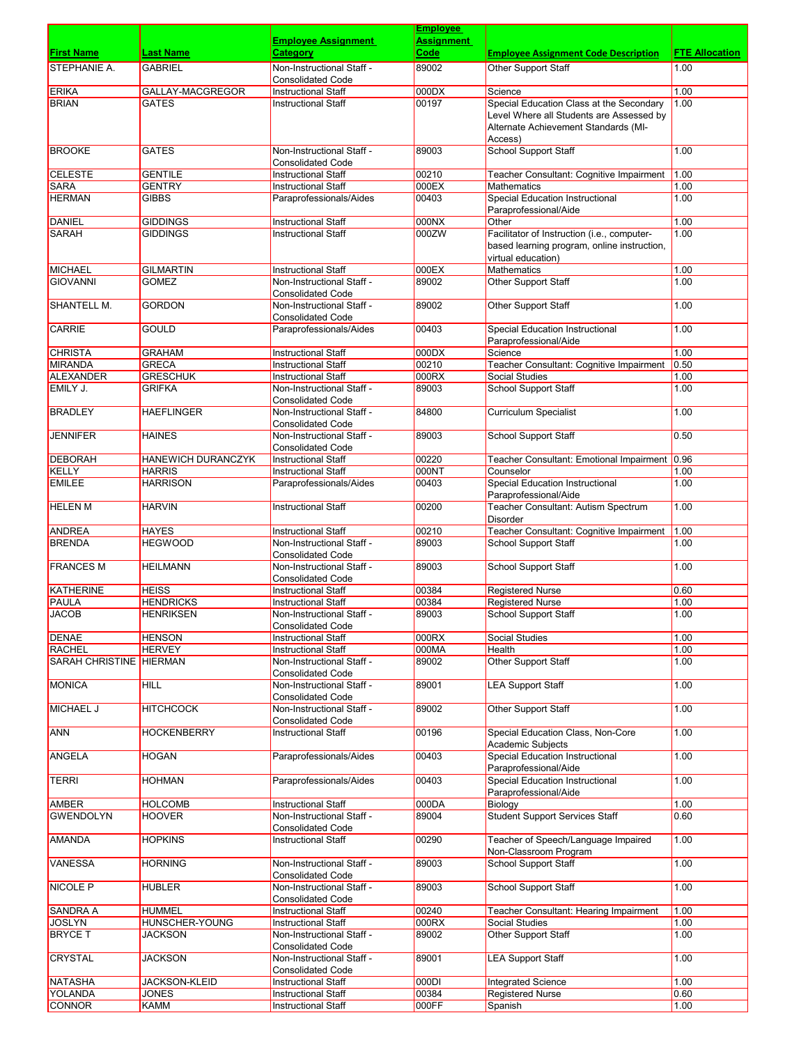|                                  |                                 |                                                          | <b>Employee</b> |                                                                                                                                         |                       |
|----------------------------------|---------------------------------|----------------------------------------------------------|-----------------|-----------------------------------------------------------------------------------------------------------------------------------------|-----------------------|
|                                  |                                 | <b>Employee Assignment</b>                               | Assignment      |                                                                                                                                         |                       |
| <b>First Name</b>                | Last Name                       | Category                                                 | Code            | <b>Employee Assignment Code Description</b>                                                                                             | <b>FTE Allocation</b> |
| <b>STEPHANIE A.</b>              | <b>GABRIEL</b>                  | Non-Instructional Staff -<br><b>Consolidated Code</b>    | 89002           | <b>Other Support Staff</b>                                                                                                              | 1.00                  |
| <b>ERIKA</b>                     | GALLAY-MACGREGOR                | <b>Instructional Staff</b>                               | 000DX           | Science                                                                                                                                 | 1.00                  |
| <b>BRIAN</b>                     | <b>GATES</b>                    | Instructional Staff                                      | 00197           | Special Education Class at the Secondary<br>Level Where all Students are Assessed by<br>Alternate Achievement Standards (MI-<br>Access) | 1.00                  |
| <b>BROOKE</b>                    | <b>GATES</b>                    | Non-Instructional Staff -<br><b>Consolidated Code</b>    | 89003           | <b>School Support Staff</b>                                                                                                             | 1.00                  |
| <b>CELESTE</b>                   | <b>GENTILE</b>                  | <b>Instructional Staff</b>                               | 00210           | Teacher Consultant: Cognitive Impairment                                                                                                | 1.00                  |
| <b>SARA</b>                      | <b>GENTRY</b>                   | <b>Instructional Staff</b>                               | 000EX           | <b>Mathematics</b>                                                                                                                      | 1.00                  |
| <b>HERMAN</b>                    | <b>GIBBS</b>                    | Paraprofessionals/Aides                                  | 00403           | <b>Special Education Instructional</b><br>Paraprofessional/Aide                                                                         | 1.00                  |
| <b>DANIEL</b>                    | <b>GIDDINGS</b>                 | <b>Instructional Staff</b>                               | 000NX           | Other                                                                                                                                   | 1.00                  |
| <b>SARAH</b>                     | <b>GIDDINGS</b>                 | <b>Instructional Staff</b>                               | 000ZW           | Facilitator of Instruction (i.e., computer-<br>based learning program, online instruction,<br>virtual education)                        | 1.00                  |
| <b>MICHAEL</b>                   | <b>GILMARTIN</b>                | <b>Instructional Staff</b>                               | 000EX           | <b>Mathematics</b>                                                                                                                      | 1.00                  |
| <b>GIOVANNI</b>                  | <b>GOMEZ</b>                    | Non-Instructional Staff -<br><b>Consolidated Code</b>    | 89002           | <b>Other Support Staff</b>                                                                                                              | 1.00                  |
| <b>SHANTELL M.</b>               | <b>GORDON</b>                   | Non-Instructional Staff -<br><b>Consolidated Code</b>    | 89002           | Other Support Staff                                                                                                                     | 1.00                  |
| <b>CARRIE</b>                    | GOULD                           | Paraprofessionals/Aides                                  | 00403           | Special Education Instructional                                                                                                         | 1.00                  |
| <b>CHRISTA</b>                   | <b>GRAHAM</b>                   | <b>Instructional Staff</b>                               | 000DX           | Paraprofessional/Aide<br>Science                                                                                                        | 1.00                  |
| <b>MIRANDA</b>                   | <b>GRECA</b>                    | <b>Instructional Staff</b>                               | 00210           | Teacher Consultant: Cognitive Impairment                                                                                                | 0.50                  |
| <b>ALEXANDER</b>                 | <b>GRESCHUK</b>                 | <b>Instructional Staff</b>                               | 000RX           | Social Studies                                                                                                                          | 1.00                  |
| EMILY J.                         | <b>GRIFKA</b>                   | Non-Instructional Staff -<br><b>Consolidated Code</b>    | 89003           | <b>School Support Staff</b>                                                                                                             | 1.00                  |
| <b>BRADLEY</b>                   | <b>HAEFLINGER</b>               | Non-Instructional Staff -<br><b>Consolidated Code</b>    | 84800           | <b>Curriculum Specialist</b>                                                                                                            | 1.00                  |
| <b>JENNIFER</b>                  | <b>HAINES</b>                   | Non-Instructional Staff -<br><b>Consolidated Code</b>    | 89003           | <b>School Support Staff</b>                                                                                                             | 0.50                  |
| <b>DEBORAH</b>                   | HANEWICH DURANCZYK              | <b>Instructional Staff</b>                               | 00220           | Teacher Consultant: Emotional Impairment                                                                                                | 0.96                  |
| <b>KELLY</b>                     | <b>HARRIS</b>                   | <b>Instructional Staff</b>                               | 000NT           | Counselor                                                                                                                               | 1.00                  |
| <b>EMILEE</b>                    | HARRISON                        | Paraprofessionals/Aides                                  | 00403           | <b>Special Education Instructional</b><br>Paraprofessional/Aide                                                                         | 1.00                  |
| <b>HELEN M</b>                   | <b>HARVIN</b>                   | <b>Instructional Staff</b>                               | 00200           | Teacher Consultant: Autism Spectrum<br><b>Disorder</b>                                                                                  | 1.00                  |
| <b>ANDREA</b>                    | <b>HAYES</b>                    | <b>Instructional Staff</b>                               | 00210           | Teacher Consultant: Cognitive Impairment                                                                                                | 1.00                  |
| <b>BRENDA</b>                    | <b>HEGWOOD</b>                  | Non-Instructional Staff -<br><b>Consolidated Code</b>    | 89003           | <b>School Support Staff</b>                                                                                                             | 1.00                  |
| <b>FRANCES M</b>                 | <b>HEILMANN</b>                 | Non-Instructional Staff -<br><b>Consolidated Code</b>    | 89003           | <b>School Support Staff</b>                                                                                                             | 1.00                  |
| <b>KATHERINE</b>                 | <b>HEISS</b>                    | <b>Instructional Staff</b>                               | 00384           | <b>Registered Nurse</b>                                                                                                                 | 0.60                  |
| PAULA                            | <b>HENDRICKS</b>                | <b>Instructional Staff</b>                               | 00384           | <b>Registered Nurse</b>                                                                                                                 | 1.00                  |
| <b>JACOB</b>                     | <b>HENRIKSEN</b>                | Non-Instructional Staff -<br><b>Consolidated Code</b>    | 89003           | School Support Staff                                                                                                                    | 1.00                  |
| <b>DENAE</b>                     | <b>HENSON</b>                   | <b>Instructional Staff</b>                               | 000RX           | Social Studies                                                                                                                          | 1.00                  |
| RACHEL                           | <b>HERVEY</b>                   | <b>Instructional Staff</b>                               | 000MA           | Health                                                                                                                                  | 1.00                  |
| SARAH CHRISTINE HIERMAN          |                                 | Non-Instructional Staff -<br><b>Consolidated Code</b>    | 89002           | Other Support Staff                                                                                                                     | 1.00                  |
| MONICA                           | <b>HILL</b>                     | Non-Instructional Staff -<br><b>Consolidated Code</b>    | 89001           | <b>LEA Support Staff</b>                                                                                                                | 1.00                  |
| MICHAEL J                        | <b>HITCHCOCK</b>                | Non-Instructional Staff -<br><b>Consolidated Code</b>    | 89002           | Other Support Staff                                                                                                                     | 1.00                  |
| ANN                              | <b>HOCKENBERRY</b>              | <b>Instructional Staff</b>                               | 00196           | Special Education Class, Non-Core<br>Academic Subjects                                                                                  | 1.00                  |
| ANGELA                           | <b>HOGAN</b>                    | Paraprofessionals/Aides                                  | 00403           | <b>Special Education Instructional</b><br>Paraprofessional/Aide                                                                         | 1.00                  |
| TERRI                            | <b>HOHMAN</b>                   | Paraprofessionals/Aides                                  | 00403           | <b>Special Education Instructional</b><br>Paraprofessional/Aide                                                                         | 1.00                  |
| <b>AMBER</b>                     | <b>HOLCOMB</b>                  | <b>Instructional Staff</b>                               | 000DA           | Biology                                                                                                                                 | 1.00                  |
| <b>GWENDOLYN</b>                 | <b>HOOVER</b>                   | Non-Instructional Staff -<br><b>Consolidated Code</b>    | 89004           | <b>Student Support Services Staff</b>                                                                                                   | 0.60                  |
| <b>AMANDA</b>                    | <b>HOPKINS</b>                  | <b>Instructional Staff</b>                               | 00290           | Teacher of Speech/Language Impaired                                                                                                     | 1.00                  |
| <b>VANESSA</b>                   | <b>HORNING</b>                  | Non-Instructional Staff -                                | 89003           | Non-Classroom Program<br><b>School Support Staff</b>                                                                                    | 1.00                  |
| NICOLE P                         | <b>HUBLER</b>                   | <b>Consolidated Code</b><br>Non-Instructional Staff -    | 89003           | <b>School Support Staff</b>                                                                                                             | 1.00                  |
|                                  |                                 | <b>Consolidated Code</b>                                 |                 |                                                                                                                                         |                       |
| <b>SANDRA A</b><br><b>JOSLYN</b> | <b>HUMMEL</b><br>HUNSCHER-YOUNG | <b>Instructional Staff</b><br><b>Instructional Staff</b> | 00240<br>000RX  | Teacher Consultant: Hearing Impairment<br>Social Studies                                                                                | 1.00<br>1.00          |
| <b>BRYCE T</b>                   | JACKSON                         | Non-Instructional Staff -                                | 89002           | <b>Other Support Staff</b>                                                                                                              | 1.00                  |
| CRYSTAL                          | <b>JACKSON</b>                  | <b>Consolidated Code</b><br>Non-Instructional Staff -    | 89001           | <b>LEA Support Staff</b>                                                                                                                | 1.00                  |
| NATASHA                          | <b>JACKSON-KLEID</b>            | <b>Consolidated Code</b><br>Instructional Staff          | 000DI           | Integrated Science                                                                                                                      | 1.00                  |
| <b>YOLANDA</b>                   | <b>JONES</b>                    | Instructional Staff                                      | 00384           | <b>Registered Nurse</b>                                                                                                                 | 0.60                  |
| CONNOR                           | <b>KAMM</b>                     | Instructional Staff                                      | 000FF           | Spanish                                                                                                                                 | 1.00                  |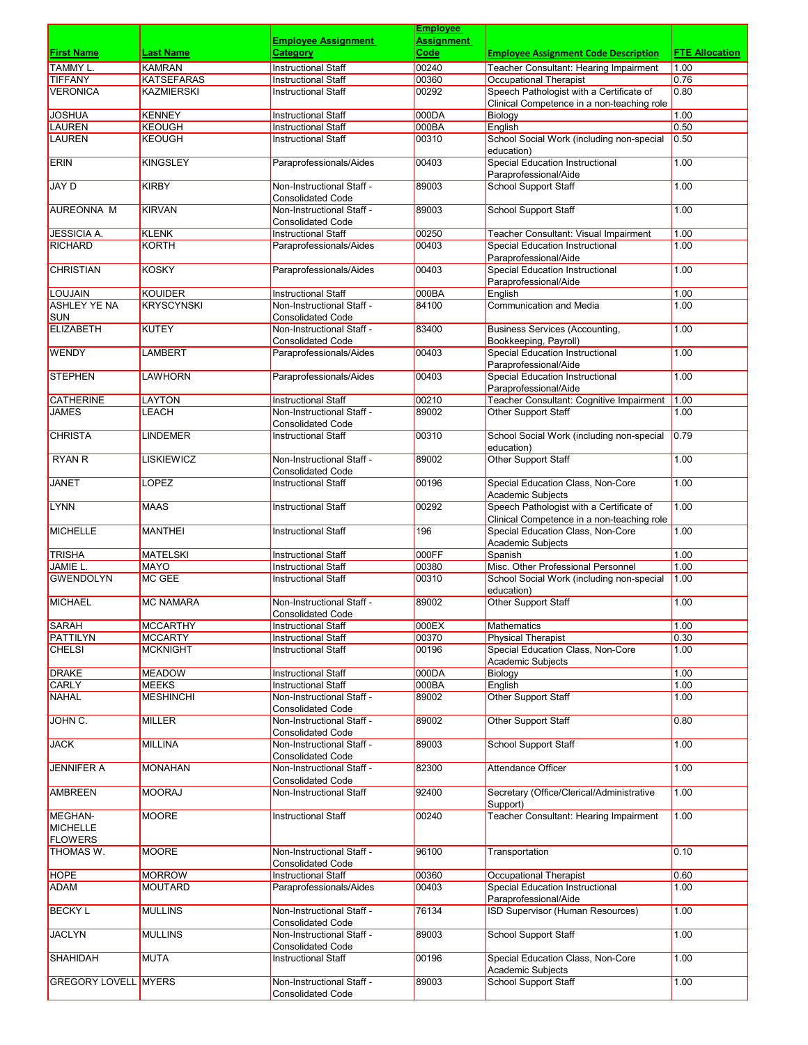|                                      |                               |                                                        | <b>Employee</b>           |                                                                                        |                       |
|--------------------------------------|-------------------------------|--------------------------------------------------------|---------------------------|----------------------------------------------------------------------------------------|-----------------------|
| <b>First Name</b>                    | Last Name                     | <b>Employee Assignment</b><br><b>Category</b>          | <b>Assignment</b><br>Code | <b>Employee Assignment Code Description</b>                                            | <b>FTE Allocation</b> |
| <b>TAMMY L.</b>                      | <b>KAMRAN</b>                 | <b>Instructional Staff</b>                             | 00240                     | Teacher Consultant: Hearing Impairment                                                 | 1.00                  |
| <b>TIFFANY</b>                       | <b>KATSEFARAS</b>             | <b>Instructional Staff</b>                             | 00360                     | <b>Occupational Therapist</b>                                                          | 0.76                  |
| <b>VERONICA</b>                      | <b>KAZMIERSKI</b>             | <b>Instructional Staff</b>                             | 00292                     | Speech Pathologist with a Certificate of                                               | 0.80                  |
|                                      |                               |                                                        |                           | Clinical Competence in a non-teaching role                                             |                       |
| <b>JOSHUA</b>                        | <b>KENNEY</b>                 | <b>Instructional Staff</b>                             | 000DA                     | Biology                                                                                | 1.00                  |
| <b>LAUREN</b>                        | <b>KEOUGH</b>                 | <b>Instructional Staff</b>                             | 000BA                     | English                                                                                | 0.50                  |
| LAUREN                               | <b>KEOUGH</b>                 | <b>Instructional Staff</b>                             | 00310                     | School Social Work (including non-special                                              | 0.50                  |
| <b>ERIN</b>                          | <b>KINGSLEY</b>               | Paraprofessionals/Aides                                | 00403                     | education)<br>Special Education Instructional                                          | 1.00                  |
|                                      |                               |                                                        |                           | Paraprofessional/Aide                                                                  |                       |
| <b>JAY D</b>                         | <b>KIRBY</b>                  | Non-Instructional Staff -                              | 89003                     | <b>School Support Staff</b>                                                            | 1.00                  |
|                                      |                               | <b>Consolidated Code</b>                               |                           |                                                                                        |                       |
| AUREONNA M                           | <b>KIRVAN</b>                 | Non-Instructional Staff -                              | 89003                     | School Support Staff                                                                   | 1.00                  |
|                                      |                               | <b>Consolidated Code</b>                               |                           |                                                                                        |                       |
| <b>JESSICIA A.</b><br><b>RICHARD</b> | <b>KLENK</b><br><b>KORTH</b>  | <b>Instructional Staff</b><br>Paraprofessionals/Aides  | 00250<br>00403            | Teacher Consultant: Visual Impairment<br><b>Special Education Instructional</b>        | 1.00<br>1.00          |
|                                      |                               |                                                        |                           | Paraprofessional/Aide                                                                  |                       |
| <b>CHRISTIAN</b>                     | <b>KOSKY</b>                  | Paraprofessionals/Aides                                | 00403                     | <b>Special Education Instructional</b>                                                 | 1.00                  |
|                                      |                               |                                                        |                           | Paraprofessional/Aide                                                                  |                       |
| <b>LOUJAIN</b>                       | <b>KOUIDER</b>                | <b>Instructional Staff</b>                             | 000BA                     | English                                                                                | 1.00                  |
| <b>ASHLEY YE NA</b>                  | <b>KRYSCYNSKI</b>             | Non-Instructional Staff -                              | 84100                     | <b>Communication and Media</b>                                                         | 1.00                  |
| <b>SUN</b><br><b>ELIZABETH</b>       | <b>KUTEY</b>                  | <b>Consolidated Code</b>                               |                           |                                                                                        |                       |
|                                      |                               | Non-Instructional Staff -<br><b>Consolidated Code</b>  | 83400                     | <b>Business Services (Accounting,</b><br>Bookkeeping, Payroll)                         | 1.00                  |
| <b>WENDY</b>                         | <b>LAMBERT</b>                | Paraprofessionals/Aides                                | 00403                     | <b>Special Education Instructional</b>                                                 | 1.00                  |
|                                      |                               |                                                        |                           | Paraprofessional/Aide                                                                  |                       |
| <b>STEPHEN</b>                       | <b>LAWHORN</b>                | Paraprofessionals/Aides                                | 00403                     | Special Education Instructional                                                        | 1.00                  |
|                                      |                               |                                                        |                           | Paraprofessional/Aide                                                                  |                       |
| <b>CATHERINE</b>                     | LAYTON                        | <b>Instructional Staff</b>                             | 00210                     | Teacher Consultant: Cognitive Impairment                                               | 1.00                  |
| <b>JAMES</b>                         | LEACH                         | Non-Instructional Staff -                              | 89002                     | Other Support Staff                                                                    | 1.00                  |
| <b>CHRISTA</b>                       | <b>LINDEMER</b>               | <b>Consolidated Code</b><br><b>Instructional Staff</b> | 00310                     | School Social Work (including non-special                                              | 0.79                  |
|                                      |                               |                                                        |                           | education)                                                                             |                       |
| <b>RYAN R</b>                        | <b>LISKIEWICZ</b>             | Non-Instructional Staff -                              | 89002                     | Other Support Staff                                                                    | 1.00                  |
|                                      |                               | <b>Consolidated Code</b>                               |                           |                                                                                        |                       |
| JANET                                | LOPEZ                         | <b>Instructional Staff</b>                             | 00196                     | Special Education Class, Non-Core                                                      | 1.00                  |
|                                      |                               |                                                        |                           | Academic Subjects                                                                      |                       |
| LYNN                                 | <b>MAAS</b>                   | <b>Instructional Staff</b>                             | 00292                     | Speech Pathologist with a Certificate of<br>Clinical Competence in a non-teaching role | 1.00                  |
| <b>MICHELLE</b>                      | <b>MANTHEI</b>                | <b>Instructional Staff</b>                             | 196                       | Special Education Class, Non-Core                                                      | 1.00                  |
|                                      |                               |                                                        |                           | Academic Subjects                                                                      |                       |
| <b>TRISHA</b>                        | <b>MATELSKI</b>               | <b>Instructional Staff</b>                             | 000FF                     | Spanish                                                                                | 1.00                  |
| JAMIE L.                             | <b>MAYO</b>                   | <b>Instructional Staff</b>                             | 00380                     | Misc. Other Professional Personnel                                                     | 1.00                  |
| <b>GWENDOLYN</b>                     | MC GEE                        | <b>Instructional Staff</b>                             | 00310                     | School Social Work (including non-special                                              | 1.00                  |
| <b>MICHAEL</b>                       | <b>MC NAMARA</b>              | Non-Instructional Staff -                              | 89002                     | education)<br>Other Support Staff                                                      | 1.00                  |
|                                      |                               | <b>Consolidated Code</b>                               |                           |                                                                                        |                       |
| <b>SARAH</b>                         | <b>MCCARTHY</b>               | <b>Instructional Staff</b>                             | 000EX                     | Mathematics                                                                            | 1.00                  |
| <b>PATTILYN</b>                      | <b>MCCARTY</b>                | <b>Instructional Staff</b>                             | 00370                     | <b>Physical Therapist</b>                                                              | 0.30                  |
| <b>CHELSI</b>                        | <b>MCKNIGHT</b>               | <b>Instructional Staff</b>                             | 00196                     | Special Education Class, Non-Core                                                      | 1.00                  |
|                                      |                               |                                                        |                           | Academic Subjects                                                                      |                       |
| DRAKE<br><b>CARLY</b>                | <b>MEADOW</b><br><b>MEEKS</b> | Instructional Staff<br><b>Instructional Staff</b>      | 000DA<br>000BA            | Biology<br>English                                                                     | 1.00<br>1.00          |
| <b>NAHAL</b>                         | <b>MESHINCHI</b>              | Non-Instructional Staff -                              | 89002                     | Other Support Staff                                                                    | 1.00                  |
|                                      |                               | <b>Consolidated Code</b>                               |                           |                                                                                        |                       |
| JOHN C.                              | MILLER                        | Non-Instructional Staff -                              | 89002                     | <b>Other Support Staff</b>                                                             | 0.80                  |
|                                      |                               | <b>Consolidated Code</b>                               |                           |                                                                                        |                       |
| <b>JACK</b>                          | MILLINA                       | Non-Instructional Staff -                              | 89003                     | <b>School Support Staff</b>                                                            | 1.00                  |
| <b>JENNIFER A</b>                    | <b>MONAHAN</b>                | <b>Consolidated Code</b><br>Non-Instructional Staff -  | 82300                     | Attendance Officer                                                                     | 1.00                  |
|                                      |                               | <b>Consolidated Code</b>                               |                           |                                                                                        |                       |
| <b>AMBREEN</b>                       | <b>MOORAJ</b>                 | Non-Instructional Staff                                | 92400                     | Secretary (Office/Clerical/Administrative                                              | 1.00                  |
|                                      |                               |                                                        |                           | Support)                                                                               |                       |
| <b>MEGHAN-</b>                       | <b>MOORE</b>                  | <b>Instructional Staff</b>                             | 00240                     | Teacher Consultant: Hearing Impairment                                                 | 1.00                  |
| <b>MICHELLE</b>                      |                               |                                                        |                           |                                                                                        |                       |
| <b>FLOWERS</b><br><b>THOMAS W.</b>   | <b>MOORE</b>                  | Non-Instructional Staff -                              | 96100                     |                                                                                        | 0.10                  |
|                                      |                               | <b>Consolidated Code</b>                               |                           | Transportation                                                                         |                       |
| <b>HOPE</b>                          | <b>MORROW</b>                 | <b>Instructional Staff</b>                             | 00360                     | Occupational Therapist                                                                 | 0.60                  |
| ADAM                                 | <b>MOUTARD</b>                | Paraprofessionals/Aides                                | 00403                     | <b>Special Education Instructional</b>                                                 | 1.00                  |
|                                      |                               |                                                        |                           | Paraprofessional/Aide                                                                  |                       |
| <b>BECKY L</b>                       | <b>MULLINS</b>                | Non-Instructional Staff -                              | 76134                     | ISD Supervisor (Human Resources)                                                       | 1.00                  |
|                                      |                               | <b>Consolidated Code</b>                               |                           |                                                                                        |                       |
| <b>JACLYN</b>                        | <b>MULLINS</b>                | Non-Instructional Staff -<br><b>Consolidated Code</b>  | 89003                     | <b>School Support Staff</b>                                                            | 1.00                  |
| <b>SHAHIDAH</b>                      | <b>MUTA</b>                   | <b>Instructional Staff</b>                             | 00196                     | Special Education Class, Non-Core                                                      | 1.00                  |
|                                      |                               |                                                        |                           | Academic Subjects                                                                      |                       |
| <b>GREGORY LOVELL MYERS</b>          |                               | Non-Instructional Staff -                              | 89003                     | School Support Staff                                                                   | 1.00                  |
|                                      |                               | <b>Consolidated Code</b>                               |                           |                                                                                        |                       |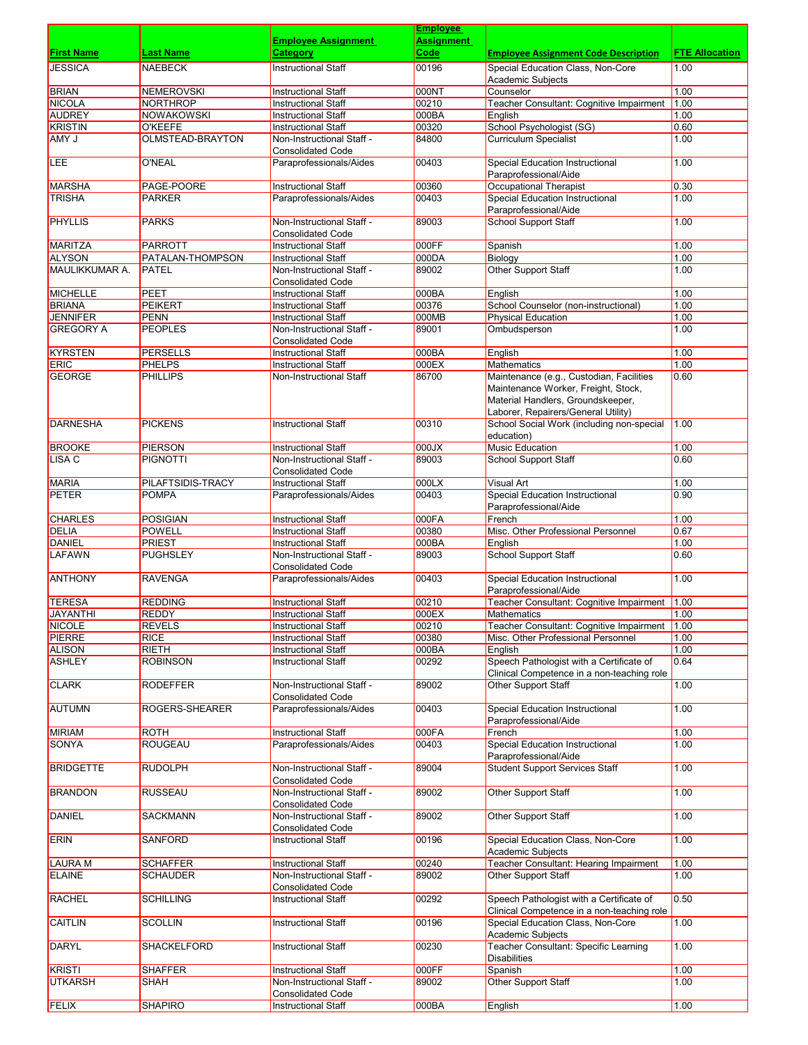|                                     |                               |                                                         | <b>Employee</b> |                                                                         |                       |
|-------------------------------------|-------------------------------|---------------------------------------------------------|-----------------|-------------------------------------------------------------------------|-----------------------|
|                                     |                               | <b>Employee Assignment</b>                              | Assignment      |                                                                         |                       |
| <b>First Name</b>                   | Last Name                     | Category                                                | Code            | <u>Employee Assignment Code Description</u>                             | <b>FTE Allocation</b> |
| <b>JESSICA</b>                      | NAEBECK                       | <b>Instructional Staff</b>                              | 00196           | Special Education Class, Non-Core<br>Academic Subjects                  | 1.00                  |
| <b>BRIAN</b>                        | <b>NEMEROVSKI</b>             | <b>Instructional Staff</b>                              | 000NT           | Counselor                                                               | 1.00                  |
| NICOLA                              | NORTHROP                      | <b>Instructional Staff</b>                              | 00210           | Teacher Consultant: Cognitive Impairment                                | 1.00                  |
| <b>AUDREY</b>                       | <b>NOWAKOWSKI</b>             | <b>Instructional Staff</b>                              | 000BA           | English                                                                 | 1.00                  |
| KRISTIN                             | <b>O'KEEFE</b>                | <b>Instructional Staff</b>                              | 00320           | School Psychologist (SG)                                                | 0.60                  |
| AMY J                               | OLMSTEAD-BRAYTON              | Non-Instructional Staff -                               | 84800           | <b>Curriculum Specialist</b>                                            | 1.00                  |
|                                     |                               | <b>Consolidated Code</b>                                |                 |                                                                         |                       |
| <b>LEE</b>                          | <b>O'NEAL</b>                 | Paraprofessionals/Aides                                 | 00403           | Special Education Instructional                                         | 1.00                  |
|                                     |                               |                                                         |                 | Paraprofessional/Aide                                                   |                       |
| <b>MARSHA</b><br><b>TRISHA</b>      | PAGE-POORE                    | <b>Instructional Staff</b>                              | 00360<br>00403  | <b>Occupational Therapist</b><br><b>Special Education Instructional</b> | 0.30<br>1.00          |
|                                     | <b>PARKER</b>                 | Paraprofessionals/Aides                                 |                 | Paraprofessional/Aide                                                   |                       |
| <b>PHYLLIS</b>                      | <b>PARKS</b>                  | Non-Instructional Staff -                               | 89003           | <b>School Support Staff</b>                                             | 1.00                  |
|                                     |                               | <b>Consolidated Code</b>                                |                 |                                                                         |                       |
| <b>MARITZA</b>                      | <b>PARROTT</b>                | <b>Instructional Staff</b>                              | 000FF           | Spanish                                                                 | 1.00                  |
| <b>ALYSON</b>                       | PATALAN-THOMPSON              | <b>Instructional Staff</b>                              | 000DA           | Biology                                                                 | 1.00                  |
| <b>MAULIKKUMAR A.</b>               | <b>PATEL</b>                  | Non-Instructional Staff -                               | 89002           | Other Support Staff                                                     | 1.00                  |
|                                     |                               | <b>Consolidated Code</b>                                |                 |                                                                         |                       |
| MICHELLE                            | PEET                          | <b>Instructional Staff</b>                              | 000BA           | English                                                                 | 1.00                  |
| <b>BRIANA</b>                       | <b>PEIKERT</b>                | <b>Instructional Staff</b>                              | 00376           | School Counselor (non-instructional)                                    | 1.00                  |
| <b>JENNIFER</b><br><b>GREGORY A</b> | <b>PENN</b><br><b>PEOPLES</b> | <b>Instructional Staff</b><br>Non-Instructional Staff - | 000MB<br>89001  | <b>Physical Education</b>                                               | 1.00<br>1.00          |
|                                     |                               | <b>Consolidated Code</b>                                |                 | Ombudsperson                                                            |                       |
| <b>KYRSTEN</b>                      | <b>PERSELLS</b>               | <b>Instructional Staff</b>                              | 000BA           | English                                                                 | 1.00                  |
| <b>ERIC</b>                         | <b>PHELPS</b>                 | <b>Instructional Staff</b>                              | 000EX           | <b>Mathematics</b>                                                      | 1.00                  |
| <b>GEORGE</b>                       | <b>PHILLIPS</b>               | <b>Non-Instructional Staff</b>                          | 86700           | Maintenance (e.g., Custodian, Facilities                                | 0.60                  |
|                                     |                               |                                                         |                 | Maintenance Worker, Freight, Stock,                                     |                       |
|                                     |                               |                                                         |                 | Material Handlers, Groundskeeper,                                       |                       |
|                                     |                               |                                                         |                 | Laborer, Repairers/General Utility)                                     |                       |
| <b>DARNESHA</b>                     | <b>PICKENS</b>                | <b>Instructional Staff</b>                              | 00310           | School Social Work (including non-special                               | 1.00                  |
|                                     |                               |                                                         |                 | education)                                                              |                       |
| <b>BROOKE</b>                       | <b>PIERSON</b>                | <b>Instructional Staff</b>                              | XL000           | <b>Music Education</b>                                                  | 1.00                  |
| <b>LISA C</b>                       | <b>PIGNOTTI</b>               | Non-Instructional Staff -<br><b>Consolidated Code</b>   | 89003           | <b>School Support Staff</b>                                             | 0.60                  |
| <b>MARIA</b>                        | PILAFTSIDIS-TRACY             | <b>Instructional Staff</b>                              | 000LX           | <b>Visual Art</b>                                                       | 1.00                  |
| PETER                               | <b>POMPA</b>                  | Paraprofessionals/Aides                                 | 00403           | <b>Special Education Instructional</b>                                  | 0.90                  |
|                                     |                               |                                                         |                 | Paraprofessional/Aide                                                   |                       |
| <b>CHARLES</b>                      | <b>POSIGIAN</b>               | <b>Instructional Staff</b>                              | 000FA           | French                                                                  | 1.00                  |
| <b>DELIA</b>                        | <b>POWELL</b>                 | <b>Instructional Staff</b>                              | 00380           | Misc. Other Professional Personnel                                      | 0.67                  |
| <b>DANIEL</b>                       | <b>PRIEST</b>                 | <b>Instructional Staff</b>                              | 000BA           | English                                                                 | 1.00                  |
| <b>LAFAWN</b>                       | <b>PUGHSLEY</b>               | Non-Instructional Staff -                               | 89003           | <b>School Support Staff</b>                                             | 0.60                  |
|                                     |                               | <b>Consolidated Code</b>                                |                 |                                                                         |                       |
| <b>ANTHONY</b>                      | <b>RAVENGA</b>                | Paraprofessionals/Aides                                 | 00403           | <b>Special Education Instructional</b>                                  | 1.00                  |
| <b>TERESA</b>                       | <b>REDDING</b>                | <b>Instructional Staff</b>                              | 00210           | Paraprofessional/Aide<br>Teacher Consultant: Cognitive Impairment       | 1.00                  |
| JAYANTHI                            | <b>REDDY</b>                  | Instructional Staff                                     | 000EX           | Mathematics                                                             | 1.00                  |
| <b>NICOLE</b>                       | <b>REVELS</b>                 | Instructional Staff                                     | 00210           | Teacher Consultant: Cognitive Impairment                                | 1.00                  |
| PIERRE                              | <b>RICE</b>                   | <b>Instructional Staff</b>                              | 00380           | Misc. Other Professional Personnel                                      | 1.00                  |
| <b>ALISON</b>                       | <b>RIETH</b>                  | <b>Instructional Staff</b>                              | 000BA           | English                                                                 | 1.00                  |
| <b>ASHLEY</b>                       | <b>ROBINSON</b>               | <b>Instructional Staff</b>                              | 00292           | Speech Pathologist with a Certificate of                                | 0.64                  |
|                                     |                               |                                                         |                 | Clinical Competence in a non-teaching role                              |                       |
| <b>CLARK</b>                        | <b>RODEFFER</b>               | Non-Instructional Staff -                               | 89002           | Other Support Staff                                                     | 1.00                  |
|                                     |                               | <b>Consolidated Code</b>                                |                 |                                                                         |                       |
| AUTUMN                              | ROGERS-SHEARER                | Paraprofessionals/Aides                                 | 00403           | <b>Special Education Instructional</b>                                  | 1.00                  |
| <b>MIRIAM</b>                       | <b>ROTH</b>                   | <b>Instructional Staff</b>                              | 000FA           | Paraprofessional/Aide<br>French                                         | 1.00                  |
| SONYA                               | <b>ROUGEAU</b>                | Paraprofessionals/Aides                                 | 00403           | Special Education Instructional                                         | 1.00                  |
|                                     |                               |                                                         |                 | Paraprofessional/Aide                                                   |                       |
| <b>BRIDGETTE</b>                    | <b>RUDOLPH</b>                | Non-Instructional Staff -                               | 89004           | <b>Student Support Services Staff</b>                                   | 1.00                  |
|                                     |                               | <b>Consolidated Code</b>                                |                 |                                                                         |                       |
| <b>BRANDON</b>                      | <b>RUSSEAU</b>                | Non-Instructional Staff -                               | 89002           | <b>Other Support Staff</b>                                              | 1.00                  |
|                                     |                               | <b>Consolidated Code</b>                                |                 |                                                                         |                       |
| DANIEL                              | <b>SACKMANN</b>               | Non-Instructional Staff -                               | 89002           | Other Support Staff                                                     | 1.00                  |
|                                     |                               | <b>Consolidated Code</b>                                |                 |                                                                         |                       |
| <b>ERIN</b>                         | SANFORD                       | <b>Instructional Staff</b>                              | 00196           | Special Education Class, Non-Core                                       | 1.00                  |
|                                     | <b>SCHAFFER</b>               |                                                         | 00240           | Academic Subjects                                                       | 1.00                  |
| <b>LAURA M</b><br><b>ELAINE</b>     | SCHAUDER                      | <b>Instructional Staff</b><br>Non-Instructional Staff - | 89002           | Teacher Consultant: Hearing Impairment<br>Other Support Staff           | 1.00                  |
|                                     |                               | <b>Consolidated Code</b>                                |                 |                                                                         |                       |
| RACHEL                              | <b>SCHILLING</b>              | <b>Instructional Staff</b>                              | 00292           | Speech Pathologist with a Certificate of                                | 0.50                  |
|                                     |                               |                                                         |                 | Clinical Competence in a non-teaching role                              |                       |
| CAITLIN                             | <b>SCOLLIN</b>                | <b>Instructional Staff</b>                              | 00196           | Special Education Class, Non-Core                                       | 1.00                  |
|                                     |                               |                                                         |                 | Academic Subjects                                                       |                       |
| DARYL                               | SHACKELFORD                   | <b>Instructional Staff</b>                              | 00230           | Teacher Consultant: Specific Learning                                   | 1.00                  |
|                                     |                               |                                                         |                 | <b>Disabilities</b>                                                     |                       |
| KRISTI                              | <b>SHAFFER</b>                | <b>Instructional Staff</b>                              | 000FF           | Spanish                                                                 | 1.00                  |
| UTKARSH                             | SHAH                          | Non-Instructional Staff -                               | 89002           | Other Support Staff                                                     | 1.00                  |
| FELIX                               | <b>SHAPIRO</b>                | <b>Consolidated Code</b><br><b>Instructional Staff</b>  | 000BA           | English                                                                 | 1.00                  |
|                                     |                               |                                                         |                 |                                                                         |                       |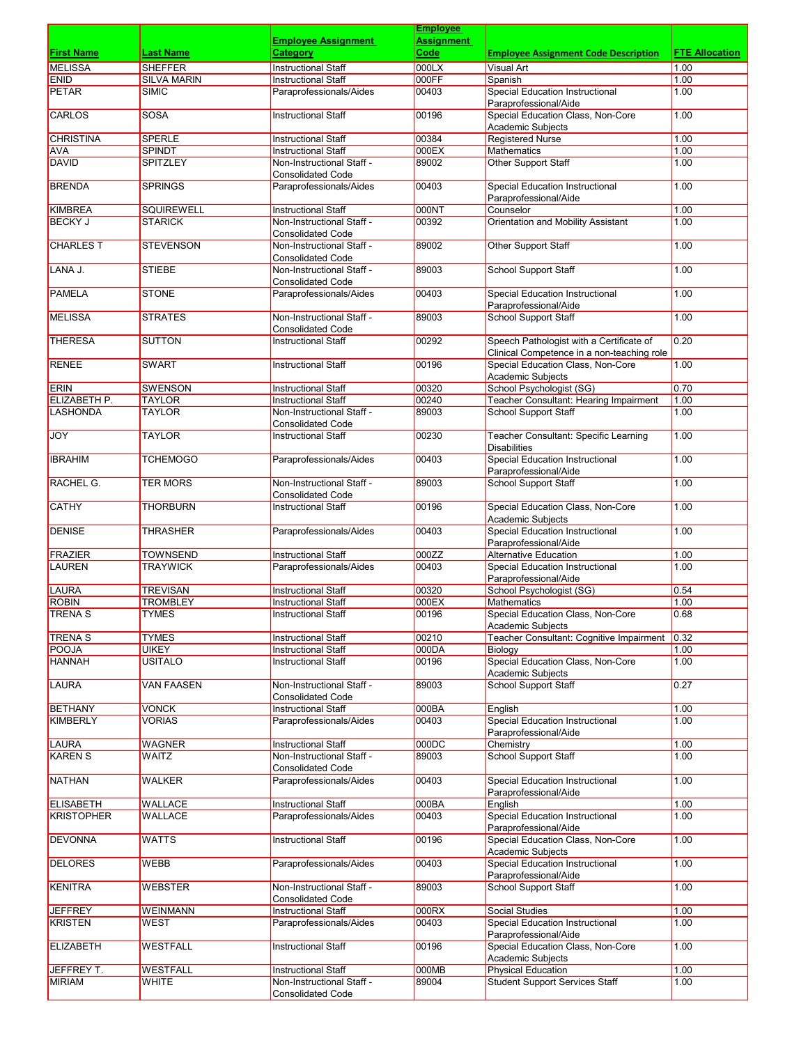|                               |                                 |                                                          | <b>Employee</b>           |                                                                    |                       |
|-------------------------------|---------------------------------|----------------------------------------------------------|---------------------------|--------------------------------------------------------------------|-----------------------|
| <b>First Name</b>             | <b>Last Name</b>                | <b>Employee Assignment</b><br><b>Category</b>            | <b>Assignment</b><br>Code |                                                                    | <b>FTE Allocation</b> |
| <b>MELISSA</b>                | <b>SHEFFER</b>                  | <b>Instructional Staff</b>                               | 000LX                     | <b>Employee Assignment Code Description</b>                        | 1.00                  |
| <b>ENID</b>                   | <b>SILVA MARIN</b>              | <b>Instructional Staff</b>                               | 000FF                     | Visual Art<br>Spanish                                              | 1.00                  |
| <b>PETAR</b>                  | <b>SIMIC</b>                    | Paraprofessionals/Aides                                  | 00403                     | <b>Special Education Instructional</b>                             | 1.00                  |
|                               |                                 |                                                          |                           | Paraprofessional/Aide                                              |                       |
| <b>CARLOS</b>                 | <b>SOSA</b>                     | <b>Instructional Staff</b>                               | 00196                     | Special Education Class, Non-Core                                  | 1.00                  |
|                               |                                 |                                                          |                           | <b>Academic Subjects</b>                                           |                       |
| <b>CHRISTINA</b>              | <b>SPERLE</b>                   | <b>Instructional Staff</b>                               | 00384                     | <b>Registered Nurse</b>                                            | 1.00                  |
| AVA<br><b>DAVID</b>           | <b>SPINDT</b><br>SPITZLEY       | <b>Instructional Staff</b><br>Non-Instructional Staff -  | 000EX<br>89002            | Mathematics<br><b>Other Support Staff</b>                          | 1.00<br>1.00          |
|                               |                                 | <b>Consolidated Code</b>                                 |                           |                                                                    |                       |
| <b>BRENDA</b>                 | <b>SPRINGS</b>                  | Paraprofessionals/Aides                                  | 00403                     | <b>Special Education Instructional</b>                             | 1.00                  |
|                               |                                 |                                                          |                           | Paraprofessional/Aide                                              |                       |
| KIMBREA                       | <b>SQUIREWELL</b>               | <b>Instructional Staff</b>                               | 000NT                     | Counselor                                                          | 1.00                  |
| <b>BECKY J</b>                | <b>STARICK</b>                  | Non-Instructional Staff -                                | 00392                     | Orientation and Mobility Assistant                                 | 1.00                  |
|                               |                                 | <b>Consolidated Code</b><br>Non-Instructional Staff -    |                           |                                                                    |                       |
| <b>CHARLES T</b>              | <b>STEVENSON</b>                | <b>Consolidated Code</b>                                 | 89002                     | Other Support Staff                                                | 1.00                  |
| LANA J.                       | <b>STIEBE</b>                   | Non-Instructional Staff -                                | 89003                     | <b>School Support Staff</b>                                        | 1.00                  |
|                               |                                 | <b>Consolidated Code</b>                                 |                           |                                                                    |                       |
| <b>PAMELA</b>                 | <b>STONE</b>                    | Paraprofessionals/Aides                                  | 00403                     | <b>Special Education Instructional</b>                             | 1.00                  |
|                               |                                 |                                                          |                           | Paraprofessional/Aide                                              |                       |
| <b>MELISSA</b>                | <b>STRATES</b>                  | Non-Instructional Staff -                                | 89003                     | <b>School Support Staff</b>                                        | 1.00                  |
| <b>THERESA</b>                | <b>SUTTON</b>                   | <b>Consolidated Code</b><br><b>Instructional Staff</b>   | 00292                     | Speech Pathologist with a Certificate of                           | 0.20                  |
|                               |                                 |                                                          |                           | Clinical Competence in a non-teaching role                         |                       |
| <b>RENEE</b>                  | <b>SWART</b>                    | <b>Instructional Staff</b>                               | 00196                     | Special Education Class, Non-Core                                  | 1.00                  |
|                               |                                 |                                                          |                           | <b>Academic Subjects</b>                                           |                       |
| <b>ERIN</b>                   | <b>SWENSON</b>                  | <b>Instructional Staff</b>                               | 00320                     | School Psychologist (SG)                                           | 0.70                  |
| ELIZABETH P.                  | <b>TAYLOR</b>                   | <b>Instructional Staff</b>                               | 00240                     | Teacher Consultant: Hearing Impairment                             | 1.00                  |
| <b>LASHONDA</b>               | TAYLOR                          | Non-Instructional Staff -                                | 89003                     | <b>School Support Staff</b>                                        | 1.00                  |
| <b>JOY</b>                    | TAYLOR                          | <b>Consolidated Code</b><br><b>Instructional Staff</b>   | 00230                     | Teacher Consultant: Specific Learning                              | 1.00                  |
|                               |                                 |                                                          |                           | <b>Disabilities</b>                                                |                       |
| <b>IBRAHIM</b>                | <b>TCHEMOGO</b>                 | Paraprofessionals/Aides                                  | 00403                     | <b>Special Education Instructional</b>                             | 1.00                  |
|                               |                                 |                                                          |                           | Paraprofessional/Aide                                              |                       |
| <b>RACHEL G.</b>              | <b>TER MORS</b>                 | Non-Instructional Staff -                                | 89003                     | <b>School Support Staff</b>                                        | 1.00                  |
|                               |                                 | <b>Consolidated Code</b>                                 |                           |                                                                    |                       |
| <b>CATHY</b>                  | <b>THORBURN</b>                 | <b>Instructional Staff</b>                               | 00196                     | Special Education Class, Non-Core                                  | 1.00                  |
| <b>DENISE</b>                 | <b>THRASHER</b>                 | Paraprofessionals/Aides                                  | 00403                     | <b>Academic Subjects</b><br><b>Special Education Instructional</b> | 1.00                  |
|                               |                                 |                                                          |                           | Paraprofessional/Aide                                              |                       |
| <b>FRAZIER</b>                | <b>TOWNSEND</b>                 | <b>Instructional Staff</b>                               | 000ZZ                     | <b>Alternative Education</b>                                       | 1.00                  |
| <b>LAUREN</b>                 | <b>TRAYWICK</b>                 | Paraprofessionals/Aides                                  | 00403                     | Special Education Instructional                                    | 1.00                  |
|                               |                                 |                                                          |                           | Paraprofessional/Aide                                              |                       |
| LAURA                         | <b>TREVISAN</b>                 | <b>Instructional Staff</b>                               | 00320                     | School Psychologist (SG)                                           | 0.54                  |
| <b>ROBIN</b><br><b>TRENAS</b> | <b>TROMBLEY</b><br><b>TYMES</b> | <b>Instructional Staff</b><br><b>Instructional Staff</b> | 000EX<br>00196            | Mathematics<br>Special Education Class, Non-Core                   | 1.00<br>0.68          |
|                               |                                 |                                                          |                           | Academic Subjects                                                  |                       |
| <b>TRENAS</b>                 | <b>TYMES</b>                    | <b>Instructional Staff</b>                               | 00210                     | Teacher Consultant: Cognitive Impairment                           | 0.32                  |
| <b>POOJA</b>                  | <b>UIKEY</b>                    | Instructional Staff                                      | 000DA                     | Biology                                                            | 1.00                  |
| <b>HANNAH</b>                 | <b>USITALO</b>                  | <b>Instructional Staff</b>                               | 00196                     | Special Education Class, Non-Core                                  | 1.00                  |
|                               |                                 |                                                          |                           | Academic Subjects                                                  |                       |
| LAURA                         | <b>VAN FAASEN</b>               | Non-Instructional Staff -                                | 89003                     | <b>School Support Staff</b>                                        | 0.27                  |
| <b>BETHANY</b>                | <b>VONCK</b>                    | <b>Consolidated Code</b><br><b>Instructional Staff</b>   | 000BA                     | English                                                            | 1.00                  |
| <b>KIMBERLY</b>               | <b>VORIAS</b>                   | Paraprofessionals/Aides                                  | 00403                     | Special Education Instructional                                    | 1.00                  |
|                               |                                 |                                                          |                           | Paraprofessional/Aide                                              |                       |
| <b>LAURA</b>                  | WAGNER                          | <b>Instructional Staff</b>                               | 000DC                     | Chemistry                                                          | 1.00                  |
| <b>KAREN S</b>                | WAITZ                           | Non-Instructional Staff -                                | 89003                     | <b>School Support Staff</b>                                        | 1.00                  |
|                               |                                 | <b>Consolidated Code</b>                                 |                           |                                                                    |                       |
| <b>NATHAN</b>                 | WALKER                          | Paraprofessionals/Aides                                  | 00403                     | Special Education Instructional<br>Paraprofessional/Aide           | 1.00                  |
| <b>ELISABETH</b>              | WALLACE                         | <b>Instructional Staff</b>                               | 000BA                     | English                                                            | 1.00                  |
| <b>KRISTOPHER</b>             | WALLACE                         | Paraprofessionals/Aides                                  | 00403                     | Special Education Instructional                                    | 1.00                  |
|                               |                                 |                                                          |                           | Paraprofessional/Aide                                              |                       |
| <b>DEVONNA</b>                | WATTS                           | <b>Instructional Staff</b>                               | 00196                     | Special Education Class, Non-Core                                  | 1.00                  |
|                               |                                 |                                                          |                           | Academic Subjects                                                  |                       |
| <b>DELORES</b>                | WEBB                            | Paraprofessionals/Aides                                  | 00403                     | Special Education Instructional<br>Paraprofessional/Aide           | 1.00                  |
| <b>KENITRA</b>                | WEBSTER                         | Non-Instructional Staff -                                | 89003                     | School Support Staff                                               | 1.00                  |
|                               |                                 | <b>Consolidated Code</b>                                 |                           |                                                                    |                       |
| JEFFREY                       | <b>WEINMANN</b>                 | <b>Instructional Staff</b>                               | 000RX                     | Social Studies                                                     | 1.00                  |
| <b>KRISTEN</b>                | <b>WEST</b>                     | Paraprofessionals/Aides                                  | 00403                     | Special Education Instructional                                    | 1.00                  |
|                               |                                 |                                                          |                           | Paraprofessional/Aide                                              |                       |
| <b>ELIZABETH</b>              | <b>WESTFALL</b>                 | Instructional Staff                                      | 00196                     | Special Education Class, Non-Core                                  | 1.00                  |
| JEFFREY T.                    | WESTFALL                        | <b>Instructional Staff</b>                               | 000MB                     | Academic Subjects<br><b>Physical Education</b>                     | 1.00                  |
| <b>MIRIAM</b>                 | <b>WHITE</b>                    | Non-Instructional Staff -                                | 89004                     | <b>Student Support Services Staff</b>                              | 1.00                  |
|                               |                                 | <b>Consolidated Code</b>                                 |                           |                                                                    |                       |